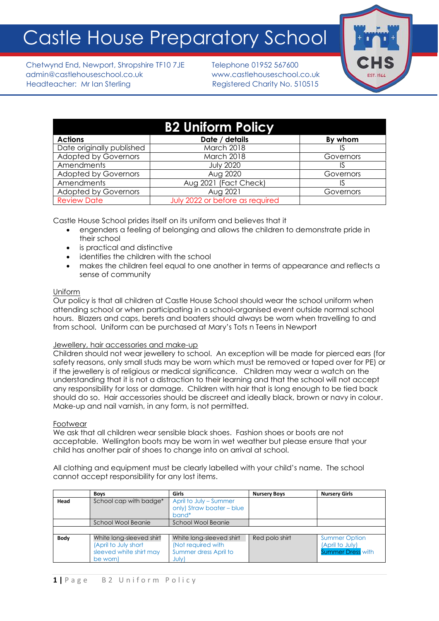## Castle House Preparatory School

Chetwynd End, Newport, Shropshire TF10 7JE Telephone 01952 567600 admin@castlehouseschool.co.uk www.castlehouseschool.co.uk Headteacher: Mr Ian Sterling Registered Charity No. 510515



| <b>B2 Uniform Policy</b>    |                                 |           |  |  |  |
|-----------------------------|---------------------------------|-----------|--|--|--|
| <b>Actions</b>              | Date / details                  | By whom   |  |  |  |
| Date originally published   | March 2018                      |           |  |  |  |
| <b>Adopted by Governors</b> | March 2018                      | Governors |  |  |  |
| Amendments                  | <b>July 2020</b>                | IS        |  |  |  |
| <b>Adopted by Governors</b> | Aug 2020                        | Governors |  |  |  |
| Amendments                  | Aug 2021 (Fact Check)           |           |  |  |  |
| <b>Adopted by Governors</b> | Aug 2021                        | Governors |  |  |  |
| <b>Review Date</b>          | July 2022 or before as required |           |  |  |  |

Castle House School prides itself on its uniform and believes that it

- engenders a feeling of belonging and allows the children to demonstrate pride in their school
- is practical and distinctive
- identifies the children with the school
- makes the children feel equal to one another in terms of appearance and reflects a sense of community

## Uniform

Our policy is that all children at Castle House School should wear the school uniform when attending school or when participating in a school-organised event outside normal school hours. Blazers and caps, berets and boaters should always be worn when travelling to and from school. Uniform can be purchased at Mary's Tots n Teens in Newport

## Jewellery, hair accessories and make-up

Children should not wear jewellery to school. An exception will be made for pierced ears (for safety reasons, only small studs may be worn which must be removed or taped over for PE) or if the jewellery is of religious or medical significance. Children may wear a watch on the understanding that it is not a distraction to their learning and that the school will not accept any responsibility for loss or damage. Children with hair that is long enough to be tied back should do so. Hair accessories should be discreet and ideally black, brown or navy in colour. Make-up and nail varnish, in any form, is not permitted.

## Footwear

We ask that all children wear sensible black shoes. Fashion shoes or boots are not acceptable. Wellington boots may be worn in wet weather but please ensure that your child has another pair of shoes to change into on arrival at school.

All clothing and equipment must be clearly labelled with your child's name. The school cannot accept responsibility for any lost items.

|             | <b>Boys</b>                                                                             | Girls                                                                            | <b>Nursery Boys</b> | <b>Nursery Girls</b>                                                |
|-------------|-----------------------------------------------------------------------------------------|----------------------------------------------------------------------------------|---------------------|---------------------------------------------------------------------|
| Head        | School cap with badge*                                                                  | April to July – Summer<br>only) Straw boater - blue<br>band*                     |                     |                                                                     |
|             | School Wool Beanie                                                                      | School Wool Beanie                                                               |                     |                                                                     |
|             |                                                                                         |                                                                                  |                     |                                                                     |
| <b>Body</b> | White long-sleeved shirt<br>(April to July short<br>sleeved white shirt may<br>be worn) | White long-sleeved shirt<br>(Not required with<br>Summer dress April to<br>July) | Red polo shirt      | <b>Summer Option</b><br>(April to July)<br><b>Summer Dress with</b> |